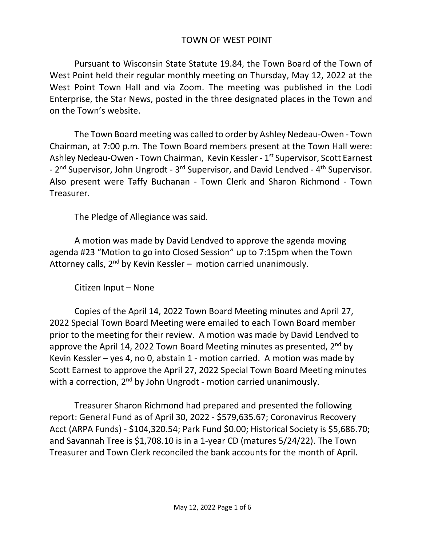## TOWN OF WEST POINT

Pursuant to Wisconsin State Statute 19.84, the Town Board of the Town of West Point held their regular monthly meeting on Thursday, May 12, 2022 at the West Point Town Hall and via Zoom. The meeting was published in the Lodi Enterprise, the Star News, posted in the three designated places in the Town and on the Town's website.

The Town Board meeting was called to order by Ashley Nedeau-Owen - Town Chairman, at 7:00 p.m. The Town Board members present at the Town Hall were: Ashley Nedeau-Owen - Town Chairman, Kevin Kessler - 1<sup>st</sup> Supervisor, Scott Earnest - 2<sup>nd</sup> Supervisor, John Ungrodt - 3<sup>rd</sup> Supervisor, and David Lendved - 4<sup>th</sup> Supervisor. Also present were Taffy Buchanan - Town Clerk and Sharon Richmond - Town Treasurer.

The Pledge of Allegiance was said.

A motion was made by David Lendved to approve the agenda moving agenda #23 "Motion to go into Closed Session" up to 7:15pm when the Town Attorney calls, 2<sup>nd</sup> by Kevin Kessler – motion carried unanimously.

Citizen Input – None

Copies of the April 14, 2022 Town Board Meeting minutes and April 27, 2022 Special Town Board Meeting were emailed to each Town Board member prior to the meeting for their review. A motion was made by David Lendved to approve the April 14, 2022 Town Board Meeting minutes as presented,  $2<sup>nd</sup>$  by Kevin Kessler – yes 4, no 0, abstain 1 - motion carried. A motion was made by Scott Earnest to approve the April 27, 2022 Special Town Board Meeting minutes with a correction, 2<sup>nd</sup> by John Ungrodt - motion carried unanimously.

Treasurer Sharon Richmond had prepared and presented the following report: General Fund as of April 30, 2022 - \$579,635.67; Coronavirus Recovery Acct (ARPA Funds) - \$104,320.54; Park Fund \$0.00; Historical Society is \$5,686.70; and Savannah Tree is \$1,708.10 is in a 1-year CD (matures 5/24/22). The Town Treasurer and Town Clerk reconciled the bank accounts for the month of April.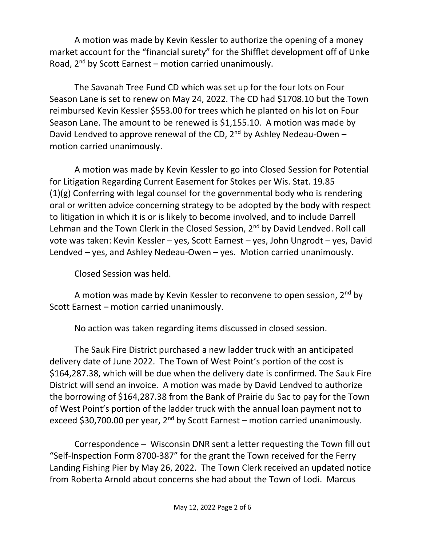A motion was made by Kevin Kessler to authorize the opening of a money market account for the "financial surety" for the Shifflet development off of Unke Road,  $2^{nd}$  by Scott Earnest – motion carried unanimously.

The Savanah Tree Fund CD which was set up for the four lots on Four Season Lane is set to renew on May 24, 2022. The CD had \$1708.10 but the Town reimbursed Kevin Kessler \$553.00 for trees which he planted on his lot on Four Season Lane. The amount to be renewed is \$1,155.10. A motion was made by David Lendved to approve renewal of the CD,  $2^{nd}$  by Ashley Nedeau-Owen – motion carried unanimously.

A motion was made by Kevin Kessler to go into Closed Session for Potential for Litigation Regarding Current Easement for Stokes per Wis. Stat. 19.85 (1)(g) Conferring with legal counsel for the governmental body who is rendering oral or written advice concerning strategy to be adopted by the body with respect to litigation in which it is or is likely to become involved, and to include Darrell Lehman and the Town Clerk in the Closed Session, 2<sup>nd</sup> by David Lendved. Roll call vote was taken: Kevin Kessler – yes, Scott Earnest – yes, John Ungrodt – yes, David Lendved – yes, and Ashley Nedeau-Owen – yes. Motion carried unanimously.

Closed Session was held.

A motion was made by Kevin Kessler to reconvene to open session,  $2^{nd}$  by Scott Earnest – motion carried unanimously.

No action was taken regarding items discussed in closed session.

The Sauk Fire District purchased a new ladder truck with an anticipated delivery date of June 2022. The Town of West Point's portion of the cost is \$164,287.38, which will be due when the delivery date is confirmed. The Sauk Fire District will send an invoice. A motion was made by David Lendved to authorize the borrowing of \$164,287.38 from the Bank of Prairie du Sac to pay for the Town of West Point's portion of the ladder truck with the annual loan payment not to exceed \$30,700.00 per year,  $2^{nd}$  by Scott Earnest – motion carried unanimously.

Correspondence – Wisconsin DNR sent a letter requesting the Town fill out "Self-Inspection Form 8700-387" for the grant the Town received for the Ferry Landing Fishing Pier by May 26, 2022. The Town Clerk received an updated notice from Roberta Arnold about concerns she had about the Town of Lodi. Marcus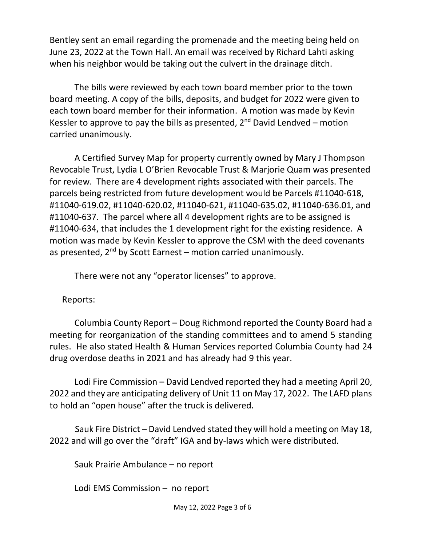Bentley sent an email regarding the promenade and the meeting being held on June 23, 2022 at the Town Hall. An email was received by Richard Lahti asking when his neighbor would be taking out the culvert in the drainage ditch.

The bills were reviewed by each town board member prior to the town board meeting. A copy of the bills, deposits, and budget for 2022 were given to each town board member for their information. A motion was made by Kevin Kessler to approve to pay the bills as presented,  $2^{nd}$  David Lendved – motion carried unanimously.

A Certified Survey Map for property currently owned by Mary J Thompson Revocable Trust, Lydia L O'Brien Revocable Trust & Marjorie Quam was presented for review. There are 4 development rights associated with their parcels. The parcels being restricted from future development would be Parcels #11040-618, #11040-619.02, #11040-620.02, #11040-621, #11040-635.02, #11040-636.01, and #11040-637. The parcel where all 4 development rights are to be assigned is #11040-634, that includes the 1 development right for the existing residence. A motion was made by Kevin Kessler to approve the CSM with the deed covenants as presented,  $2^{nd}$  by Scott Earnest – motion carried unanimously.

There were not any "operator licenses" to approve.

Reports:

Columbia County Report – Doug Richmond reported the County Board had a meeting for reorganization of the standing committees and to amend 5 standing rules. He also stated Health & Human Services reported Columbia County had 24 drug overdose deaths in 2021 and has already had 9 this year.

Lodi Fire Commission – David Lendved reported they had a meeting April 20, 2022 and they are anticipating delivery of Unit 11 on May 17, 2022. The LAFD plans to hold an "open house" after the truck is delivered.

 Sauk Fire District – David Lendved stated they will hold a meeting on May 18, 2022 and will go over the "draft" IGA and by-laws which were distributed.

Sauk Prairie Ambulance – no report

Lodi EMS Commission – no report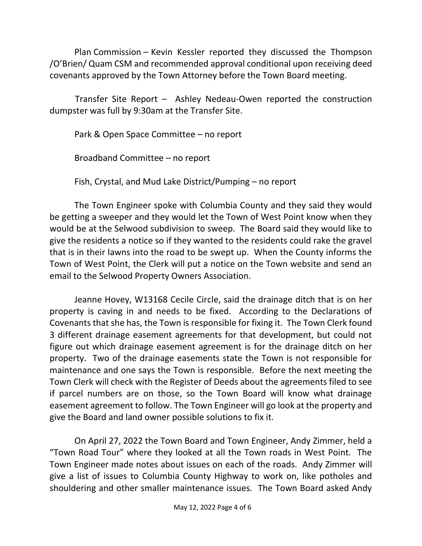Plan Commission – Kevin Kessler reported they discussed the Thompson /O'Brien/ Quam CSM and recommended approval conditional upon receiving deed covenants approved by the Town Attorney before the Town Board meeting.

 Transfer Site Report – Ashley Nedeau-Owen reported the construction dumpster was full by 9:30am at the Transfer Site.

Park & Open Space Committee – no report

Broadband Committee – no report

Fish, Crystal, and Mud Lake District/Pumping – no report

The Town Engineer spoke with Columbia County and they said they would be getting a sweeper and they would let the Town of West Point know when they would be at the Selwood subdivision to sweep. The Board said they would like to give the residents a notice so if they wanted to the residents could rake the gravel that is in their lawns into the road to be swept up. When the County informs the Town of West Point, the Clerk will put a notice on the Town website and send an email to the Selwood Property Owners Association.

Jeanne Hovey, W13168 Cecile Circle, said the drainage ditch that is on her property is caving in and needs to be fixed. According to the Declarations of Covenants that she has, the Town is responsible for fixing it. The Town Clerk found 3 different drainage easement agreements for that development, but could not figure out which drainage easement agreement is for the drainage ditch on her property. Two of the drainage easements state the Town is not responsible for maintenance and one says the Town is responsible. Before the next meeting the Town Clerk will check with the Register of Deeds about the agreements filed to see if parcel numbers are on those, so the Town Board will know what drainage easement agreement to follow. The Town Engineer will go look at the property and give the Board and land owner possible solutions to fix it.

On April 27, 2022 the Town Board and Town Engineer, Andy Zimmer, held a "Town Road Tour" where they looked at all the Town roads in West Point. The Town Engineer made notes about issues on each of the roads. Andy Zimmer will give a list of issues to Columbia County Highway to work on, like potholes and shouldering and other smaller maintenance issues. The Town Board asked Andy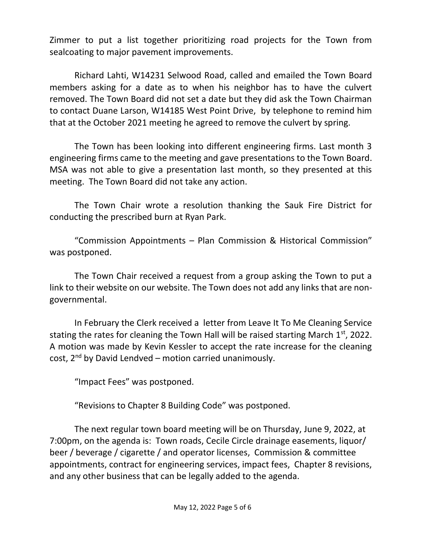Zimmer to put a list together prioritizing road projects for the Town from sealcoating to major pavement improvements.

Richard Lahti, W14231 Selwood Road, called and emailed the Town Board members asking for a date as to when his neighbor has to have the culvert removed. The Town Board did not set a date but they did ask the Town Chairman to contact Duane Larson, W14185 West Point Drive, by telephone to remind him that at the October 2021 meeting he agreed to remove the culvert by spring.

The Town has been looking into different engineering firms. Last month 3 engineering firms came to the meeting and gave presentations to the Town Board. MSA was not able to give a presentation last month, so they presented at this meeting. The Town Board did not take any action.

The Town Chair wrote a resolution thanking the Sauk Fire District for conducting the prescribed burn at Ryan Park.

"Commission Appointments – Plan Commission & Historical Commission" was postponed.

The Town Chair received a request from a group asking the Town to put a link to their website on our website. The Town does not add any links that are nongovernmental.

In February the Clerk received a letter from Leave It To Me Cleaning Service stating the rates for cleaning the Town Hall will be raised starting March  $1<sup>st</sup>$ , 2022. A motion was made by Kevin Kessler to accept the rate increase for the cleaning cost,  $2^{nd}$  by David Lendved – motion carried unanimously.

"Impact Fees" was postponed.

"Revisions to Chapter 8 Building Code" was postponed.

The next regular town board meeting will be on Thursday, June 9, 2022, at 7:00pm, on the agenda is: Town roads, Cecile Circle drainage easements, liquor/ beer / beverage / cigarette / and operator licenses, Commission & committee appointments, contract for engineering services, impact fees, Chapter 8 revisions, and any other business that can be legally added to the agenda.